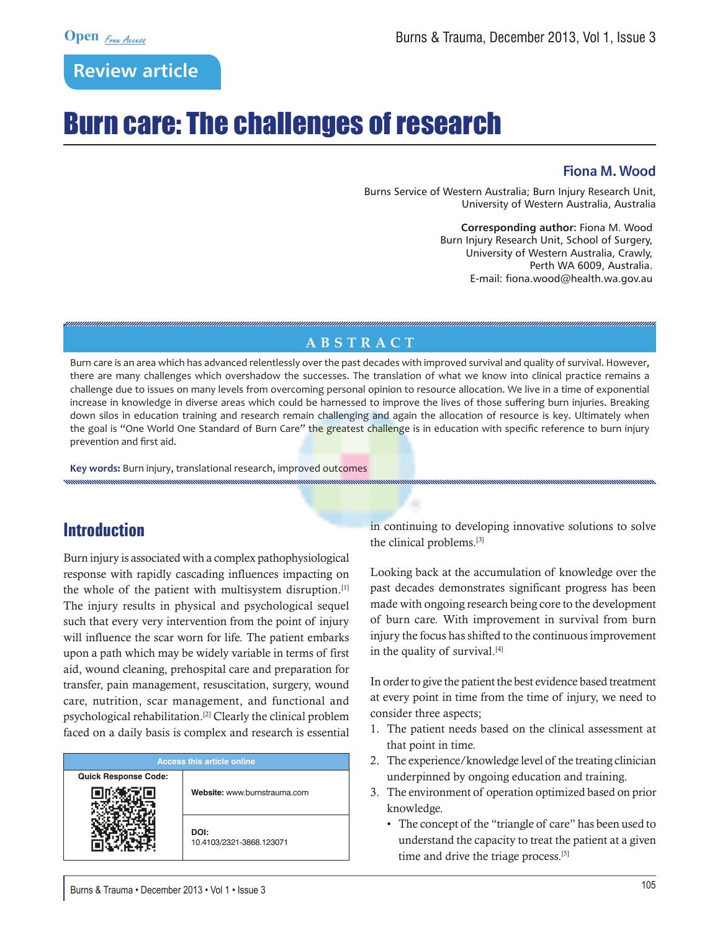# **Review article**

# Burn care: The challenges of research

#### **Fiona M. Wood**

Burns Service of Western Australia; Burn Injury Research Unit, University of Western Australia, Australia

> **Corresponding author:** Fiona M. Wood Burn Injury Research Unit, School of Surgery, University of Western Australia, Crawly, Perth WA 6009, Australia. E-mail: fiona.wood@health.wa.gov.au

### **Abstr a c t**

Burn care is an area which has advanced relentlessly over the past decades with improved survival and quality of survival. However, there are many challenges which overshadow the successes. The translation of what we know into clinical practice remains a challenge due to issues on many levels from overcoming personal opinion to resource allocation. We live in a time of exponential increase in knowledge in diverse areas which could be harnessed to improve the lives of those suffering burn injuries. Breaking down silos in education training and research remain challenging and again the allocation of resource is key. Ultimately when the goal is "One World One Standard of Burn Care" the greatest challenge is in education with specific reference to burn injury prevention and first aid.

**Key words:** Burn injury, translational research, improved outcomes

## **Introduction**

Burn injury is associated with a complex pathophysiological response with rapidly cascading influences impacting on the whole of the patient with multisystem disruption.[1] The injury results in physical and psychological sequel such that every very intervention from the point of injury will influence the scar worn for life. The patient embarks upon a path which may be widely variable in terms of first aid, wound cleaning, prehospital care and preparation for transfer, pain management, resuscitation, surgery, wound care, nutrition, scar management, and functional and psychological rehabilitation.[2] Clearly the clinical problem faced on a daily basis is complex and research is essential

| <b>Access this article online</b> |                                  |
|-----------------------------------|----------------------------------|
| <b>Quick Response Code:</b>       |                                  |
|                                   | Website: www.burnstrauma.com     |
|                                   | DOI:<br>10.4103/2321-3868.123071 |

in continuing to developing innovative solutions to solve the clinical problems.[3]

Looking back at the accumulation of knowledge over the past decades demonstrates significant progress has been made with ongoing research being core to the development of burn care. With improvement in survival from burn injury the focus has shifted to the continuous improvement in the quality of survival.[4]

In order to give the patient the best evidence based treatment at every point in time from the time of injury, we need to consider three aspects;

- 1. The patient needs based on the clinical assessment at that point in time.
- 2. The experience/knowledge level of the treating clinician underpinned by ongoing education and training.
- 3. The environment of operation optimized based on prior knowledge.
	- The concept of the "triangle of care" has been used to understand the capacity to treat the patient at a given time and drive the triage process.<sup>[5]</sup>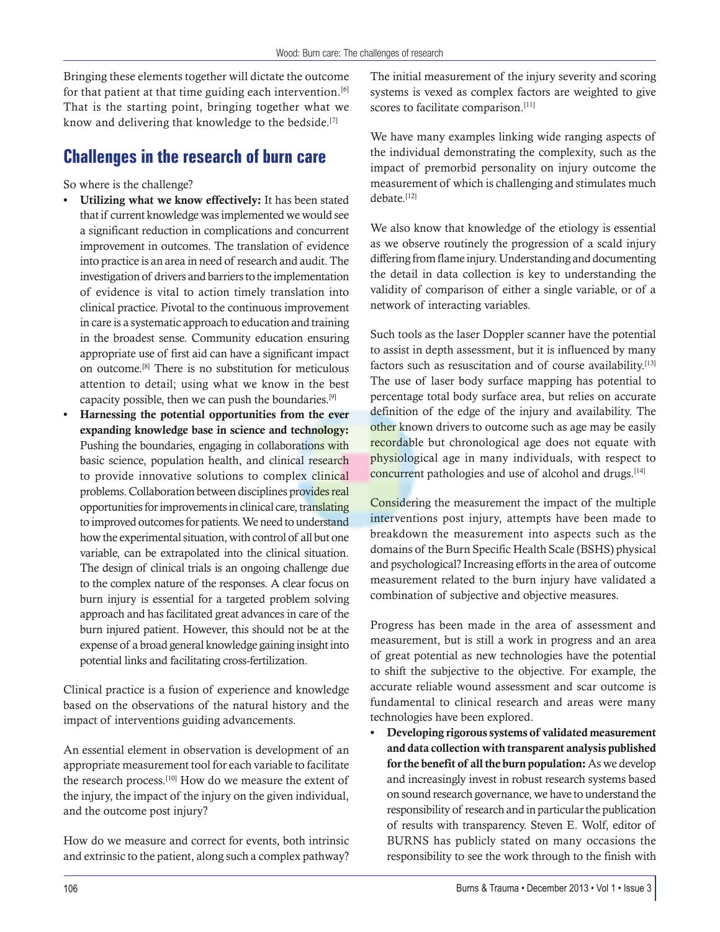Bringing these elements together will dictate the outcome for that patient at that time guiding each intervention.<sup>[6]</sup> That is the starting point, bringing together what we know and delivering that knowledge to the bedside.<sup>[7]</sup>

## **Challenges in the research of burn care**

So where is the challenge?

- Utilizing what we know effectively: It has been stated that if current knowledge was implemented we would see a significant reduction in complications and concurrent improvement in outcomes. The translation of evidence into practice is an area in need of research and audit. The investigation of drivers and barriers to the implementation of evidence is vital to action timely translation into clinical practice. Pivotal to the continuous improvement in care is a systematic approach to education and training in the broadest sense. Community education ensuring appropriate use of first aid can have a significant impact on outcome.[8] There is no substitution for meticulous attention to detail; using what we know in the best capacity possible, then we can push the boundaries.[9]
- Harnessing the potential opportunities from the ever expanding knowledge base in science and technology: Pushing the boundaries, engaging in collaborations with basic science, population health, and clinical research to provide innovative solutions to complex clinical problems. Collaboration between disciplines provides real opportunities for improvements in clinical care, translating to improved outcomes for patients. We need to understand how the experimental situation, with control of all but one variable, can be extrapolated into the clinical situation. The design of clinical trials is an ongoing challenge due to the complex nature of the responses. A clear focus on burn injury is essential for a targeted problem solving approach and has facilitated great advances in care of the burn injured patient. However, this should not be at the expense of a broad general knowledge gaining insight into potential links and facilitating cross-fertilization.

Clinical practice is a fusion of experience and knowledge based on the observations of the natural history and the impact of interventions guiding advancements.

An essential element in observation is development of an appropriate measurement tool for each variable to facilitate the research process.<sup>[10]</sup> How do we measure the extent of the injury, the impact of the injury on the given individual, and the outcome post injury?

How do we measure and correct for events, both intrinsic and extrinsic to the patient, along such a complex pathway?

The initial measurement of the injury severity and scoring systems is vexed as complex factors are weighted to give scores to facilitate comparison.<sup>[11]</sup>

We have many examples linking wide ranging aspects of the individual demonstrating the complexity, such as the impact of premorbid personality on injury outcome the measurement of which is challenging and stimulates much debate<sup>[12]</sup>

We also know that knowledge of the etiology is essential as we observe routinely the progression of a scald injury differing from flame injury. Understanding and documenting the detail in data collection is key to understanding the validity of comparison of either a single variable, or of a network of interacting variables.

Such tools as the laser Doppler scanner have the potential to assist in depth assessment, but it is influenced by many factors such as resuscitation and of course availability.<sup>[13]</sup> The use of laser body surface mapping has potential to percentage total body surface area, but relies on accurate definition of the edge of the injury and availability. The other known drivers to outcome such as age may be easily recordable but chronological age does not equate with physiological age in many individuals, with respect to concurrent pathologies and use of alcohol and drugs.<sup>[14]</sup>

Considering the measurement the impact of the multiple interventions post injury, attempts have been made to breakdown the measurement into aspects such as the domains of the Burn Specific Health Scale (BSHS) physical and psychological? Increasing efforts in the area of outcome measurement related to the burn injury have validated a combination of subjective and objective measures.

Progress has been made in the area of assessment and measurement, but is still a work in progress and an area of great potential as new technologies have the potential to shift the subjective to the objective. For example, the accurate reliable wound assessment and scar outcome is fundamental to clinical research and areas were many technologies have been explored.

Developing rigorous systems of validated measurement and data collection with transparent analysis published for the benefit of all the burn population: As we develop and increasingly invest in robust research systems based on sound research governance, we have to understand the responsibility of research and in particular the publication of results with transparency. Steven E. Wolf, editor of BURNS has publicly stated on many occasions the responsibility to see the work through to the finish with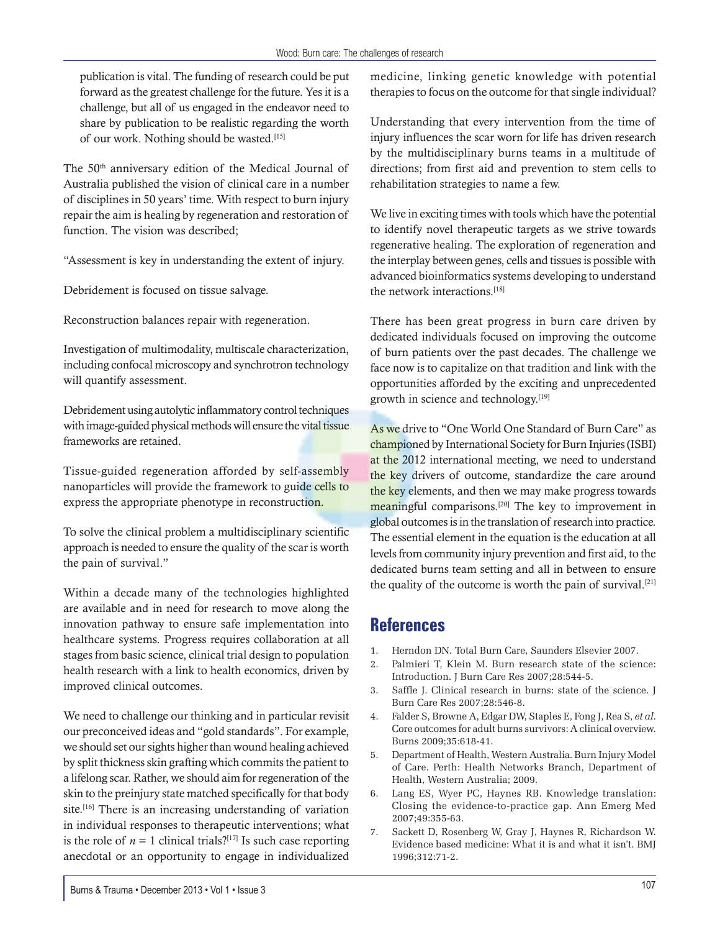publication is vital. The funding of research could be put forward as the greatest challenge for the future. Yes it is a challenge, but all of us engaged in the endeavor need to share by publication to be realistic regarding the worth of our work. Nothing should be wasted.[15]

The 50<sup>th</sup> anniversary edition of the Medical Journal of Australia published the vision of clinical care in a number of disciplines in 50 years' time. With respect to burn injury repair the aim is healing by regeneration and restoration of function. The vision was described;

"Assessment is key in understanding the extent of injury.

Debridement is focused on tissue salvage.

Reconstruction balances repair with regeneration.

Investigation of multimodality, multiscale characterization, including confocal microscopy and synchrotron technology will quantify assessment.

Debridement using autolytic inflammatory control techniques with image-guided physical methods will ensure the vital tissue frameworks are retained.

Tissue-guided regeneration afforded by self-assembly nanoparticles will provide the framework to guide cells to express the appropriate phenotype in reconstruction.

To solve the clinical problem a multidisciplinary scientific approach is needed to ensure the quality of the scar is worth the pain of survival."

Within a decade many of the technologies highlighted are available and in need for research to move along the innovation pathway to ensure safe implementation into healthcare systems. Progress requires collaboration at all stages from basic science, clinical trial design to population health research with a link to health economics, driven by improved clinical outcomes.

We need to challenge our thinking and in particular revisit our preconceived ideas and "gold standards". For example, we should set our sights higher than wound healing achieved by split thickness skin grafting which commits the patient to a lifelong scar. Rather, we should aim for regeneration of the skin to the preinjury state matched specifically for that body site.<sup>[16]</sup> There is an increasing understanding of variation in individual responses to therapeutic interventions; what is the role of  $n = 1$  clinical trials?<sup>[17]</sup> Is such case reporting anecdotal or an opportunity to engage in individualized

medicine, linking genetic knowledge with potential therapies to focus on the outcome for that single individual?

Understanding that every intervention from the time of injury influences the scar worn for life has driven research by the multidisciplinary burns teams in a multitude of directions; from first aid and prevention to stem cells to rehabilitation strategies to name a few.

We live in exciting times with tools which have the potential to identify novel therapeutic targets as we strive towards regenerative healing. The exploration of regeneration and the interplay between genes, cells and tissues is possible with advanced bioinformatics systems developing to understand the network interactions.[18]

There has been great progress in burn care driven by dedicated individuals focused on improving the outcome of burn patients over the past decades. The challenge we face now is to capitalize on that tradition and link with the opportunities afforded by the exciting and unprecedented growth in science and technology.<sup>[19]</sup>

As we drive to "One World One Standard of Burn Care" as championed by International Society for Burn Injuries (ISBI) at the 2012 international meeting, we need to understand the key drivers of outcome, standardize the care around the key elements, and then we may make progress towards meaningful comparisons.<sup>[20]</sup> The key to improvement in global outcomes is in the translation of research into practice. The essential element in the equation is the education at all levels from community injury prevention and first aid, to the dedicated burns team setting and all in between to ensure the quality of the outcome is worth the pain of survival.<sup>[21]</sup>

#### **References**

- 1. Herndon DN. Total Burn Care, Saunders Elsevier 2007.
- 2. Palmieri T, Klein M. Burn research state of the science: Introduction. J Burn Care Res 2007;28:544-5.
- 3. Saffle J. Clinical research in burns: state of the science. J Burn Care Res 2007;28:546-8.
- 4. Falder S, Browne A, Edgar DW, Staples E, Fong J, Rea S, *et al*. Core outcomes for adult burns survivors: A clinical overview. Burns 2009;35:618-41.
- 5. Department of Health, Western Australia. Burn Injury Model of Care. Perth: Health Networks Branch, Department of Health, Western Australia; 2009.
- 6. Lang ES, Wyer PC, Haynes RB. Knowledge translation: Closing the evidence-to-practice gap. Ann Emerg Med 2007;49:355-63.
- 7. Sackett D, Rosenberg W, Gray J, Haynes R, Richardson W. Evidence based medicine: What it is and what it isn't. BMJ 1996;312:71-2.